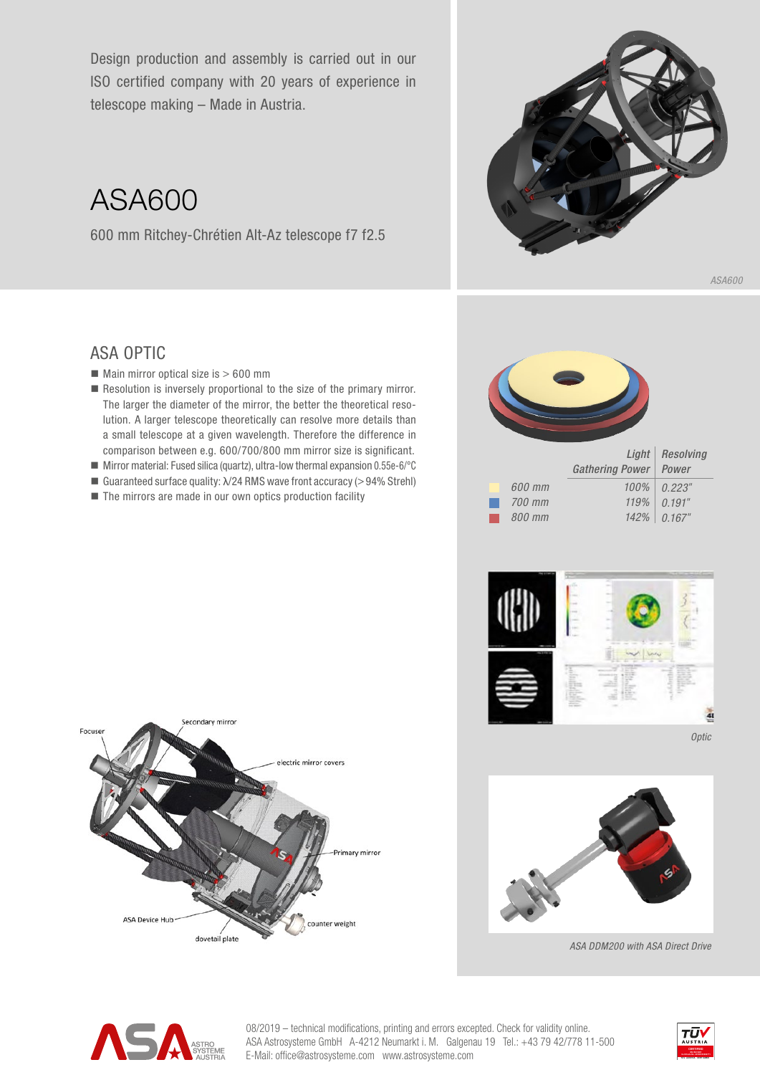Design production and assembly is carried out in our ISO certified company with 20 years of experience in telescope making – Made in Austria.

ASA600

600 mm Ritchey-Chrétien Alt-Az telescope f7 f2.5



## ASA OPTIC

- $\blacksquare$  Main mirror optical size is  $> 600$  mm
- Resolution is inversely proportional to the size of the primary mirror. The larger the diameter of the mirror, the better the theoretical resolution. A larger telescope theoretically can resolve more details than a small telescope at a given wavelength. Therefore the difference in comparison between e.g. 600/700/800 mm mirror size is significant.
- Mirror material: Fused silica (quartz), ultra-low thermal expansion  $0.55e-6$ <sup>o</sup>C
- Guaranteed surface quality:  $\lambda$ /24 RMS wave front accuracy (>94% Strehl)
- $\blacksquare$  The mirrors are made in our own optics production facility

*600 mm 700 mm 800 mm Light Gathering Power Resolving Power 0.223*" *0.191*" *0.167*" *142% 100% 119%*





*Optic*



*ASA DDM200 with ASA Direct Drive*



 $\log$  electric modifications, printing and errors excepted. Check for validity online. ASA Astrosysteme GmbH A-4212 Neumarkt i. M. Galgenau 19 Tel.: +43 79 42/778 11-500 A SYSTEME E-Mail: office@astrosysteme.com www.astrosysteme.com